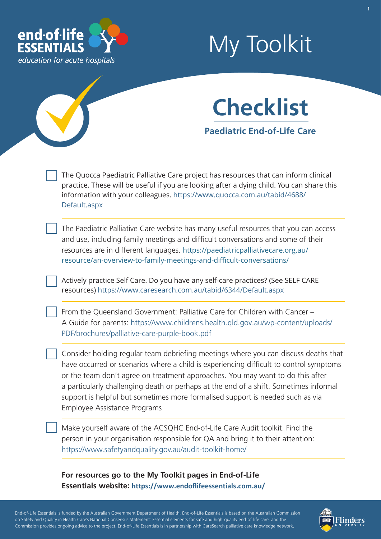

## My Toolkit



The Quocca Paediatric Palliative Care project has resources that can inform clinical practice. These will be useful if you are looking after a dying child. You can share this information with your colleagues[. https://www.quocca.com.au/tabid/4688](https://www.quocca.com.au/tabid/4688/Default.aspx)/ [Default.aspx](https://www.quocca.com.au/tabid/4688/Default.aspx)

The Paediatric Palliative Care website has many useful resources that you can access and use, including family meetings and difficult conversations and some of their resources are in different languages. [https://paediatricpalliativecare.org.au/](https://paediatricpalliativecare.org.au) [resource/an-overview-to-family-meetings-and-difficult-conversations/](https://paediatricpalliativecare.org.au/resource/an-overview-to-family-meetings-and-difficult-conversations/)

Actively practice Self Care. Do you have any self-care practices? (See SELF CARE resources[\) https://www.caresearch.com.au/tabid/6344/Default.aspx](https://www.caresearch.com.au/tabid/6344/Default.aspx)

From the Queensland Government: Palliative Care for Children with Cancer – A Guide for parents: [https://www.childrens.health.qld.gov.au/wp-content/uploads/](https://www.childrens.health.qld.gov.au/wp-content/uploads/PDF/brochures/palliative-care-purple-book.pdf) PDF/brochures/palliative-care-purple-book.pdf

Consider holding regular team debriefing meetings where you can discuss deaths that have occurred or scenarios where a child is experiencing difficult to control symptoms or the team don't agree on treatment approaches. You may want to do this after a particularly challenging death or perhaps at the end of a shift. Sometimes informal support is helpful but sometimes more formalised support is needed such as via Employee Assistance Programs

Make yourself aware of the ACSQHC End-of-Life Care Audit toolkit. Find the person in your organisation responsible for QA and bring it to their attention: <https://www.safetyandquality.gov.au/audit-toolkit-home/>

**For resources go to the My Toolkit pages in End-of-Life Essentials website: [https://www.endoflifeessentials.com.au](https://www.endoflifeessentials.com.au/)/**

- - - - End-of-Life Essentials is funded by the Australian Government Department of Health. End-of-Life Essentials is based on the Australian Commission ' - - - on Safety and Quality in Health Care's National Consensus Statement: Essential elements for safe and high quality end-of-life care, and the - - Commission provides ongoing advice to the project. End-of-Life Essentials is in partnership with CareSearch palliative care knowledge network.

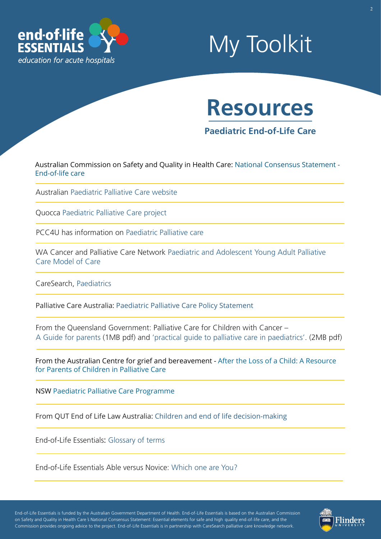

## My Toolkit



**Paediatric End-of-Life Care** 

[Australian Commission on Safety and Quality in Health Care: National Consensus Statement -](https://www.safetyandquality.gov.au/our-work/end-life-care) End-of-life care

Australian [Paediatric Palliative Care website](https://palliativecare.org.au/children) 

Quocca [Paediatric Palliative Care project](https://www.quocca.com.au/)

PCC4U has information on [Paediatric Palliative care](https://pcc4u.org.au/learning/topics/topic3/t3_section1/t3_activity4/) 

[WA Cancer and Palliative Care Network Paediatric and Adolescent Young Adult Palliative](https://ww2.health.wa.gov.au/~/media/Files/Corporate/general%20documents/Health%20Networks/WA%20Cancer%20and%20Palliative%20Care/Palliative%20care/Paediatric-Adolescent-Palliative-Care-Model-of-Care.pdf) Care Model of Care

CareSearch, [Paediatrics](https://www.caresearch.com.au/tabid/6367/Default.aspx) 

Palliative Care Australia: [Paediatric Palliative Care Policy Statement](https://palliativecare.org.au/wp-content/uploads/2019/02/Paediatric-Palliative-Care-Position-Statement-2019-final.pdf)

From the Queensland Government: Palliative Care for Children with Cancer – [A Guide for parents](https://www.quocca.com.au/Portals/6/Documents/Palliative-Care-for-Children-with-Cancer.pdf) (1MB pdf) and ['practical guide to palliative care in paediatrics'.](https://www.quocca.com.au/Portals/6/Documents/A-Practical-guide-to-Palliative-Care-in-Paediatrics.pdf) (2MB pdf)

[From the Australian Centre for grief and bereavement -](https://www.grief.org.au/ACGB/ACGB_Publications/Resources_for_the_Bereaved/Paediatric_Palliative_Care.aspx) After the Loss of a Child: A Resource for Parents of Children in Palliative Care

NSW [Paediatric Palliative Care Programme](https://www.nswppcprogramme.com.au/)

From QUT End of Life Law Australia: [Children and end of life decision-making](https://end-of-life.qut.edu.au/treatment-decisions/children#547744)

End-of-Life Essentials: [Glossary of terms](https://www.endoflifeessentials.com.au/tabid/5311/Default.aspx) 

End-of-Life Essentials Able versus Novice: [Which one are You?](https://www.endoflifeessentials.com.au/Portals/14/Images/Education%20Module/ABLE-VS-NOVICE.jpg)

- - - - End-of-Life Essentials is funded by the Australian Government Department of Health. End-of-Life Essentials is based on the Australian Commission on Safety and Quality in Health Care s National Consensus Statement: Essential elements for safe and high quality end-of-life care, and the - - Commission provides ongoing advice to the project. End-of-Life Essentials is in partnership with CareSearch palliative care knowledge network.